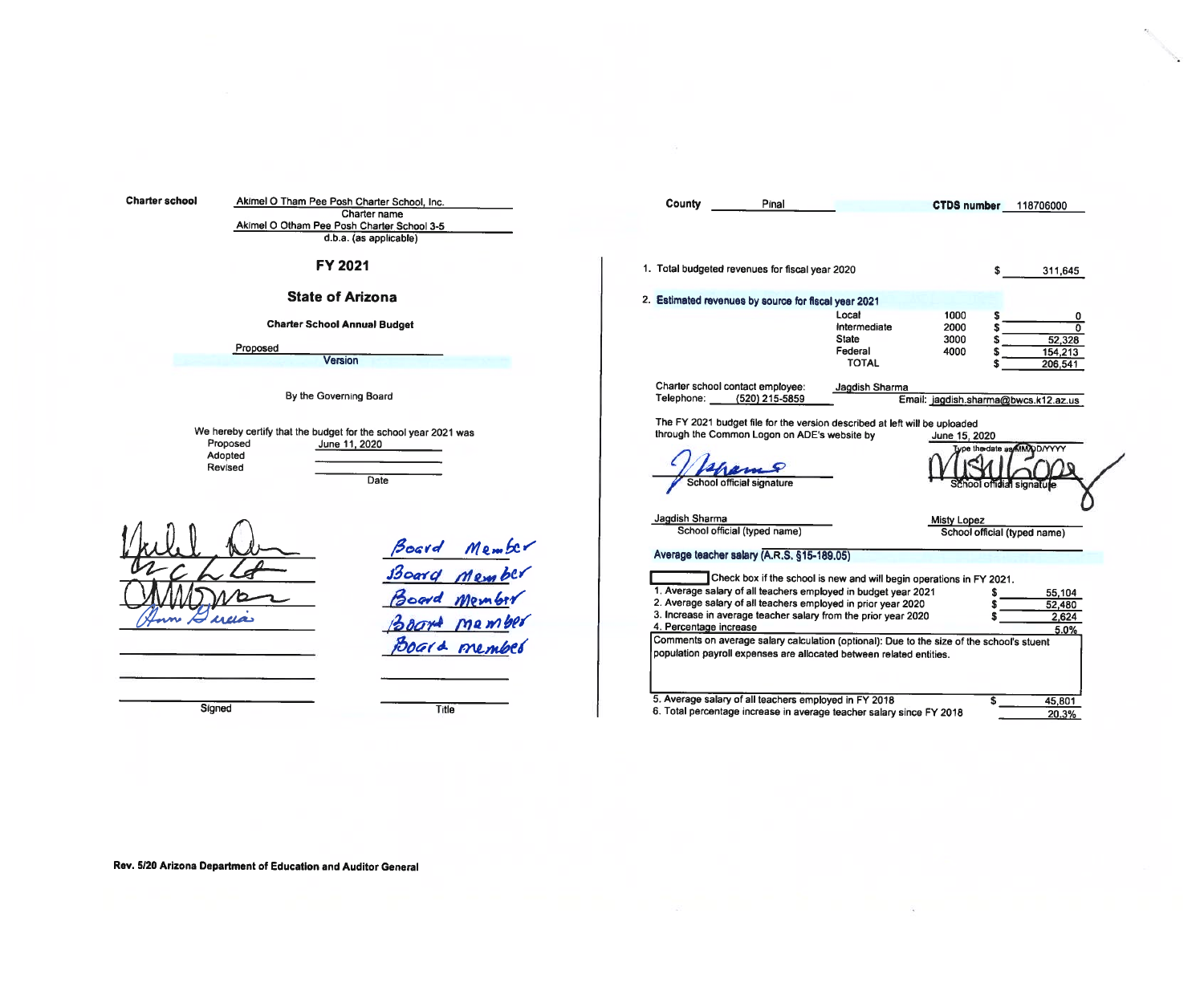| <b>Charter school</b> | Akimel O Tham Pee Posh Charter School, Inc.                                                                               | County<br>Pinal<br>CTDS number 118706000                                                                                                                                                                                                                                                                                                 |
|-----------------------|---------------------------------------------------------------------------------------------------------------------------|------------------------------------------------------------------------------------------------------------------------------------------------------------------------------------------------------------------------------------------------------------------------------------------------------------------------------------------|
|                       | Charter name<br>Akimel O Otham Pee Posh Charter School 3-5<br>d.b.a. (as applicable)                                      |                                                                                                                                                                                                                                                                                                                                          |
|                       | FY 2021                                                                                                                   | 1. Total budgeted revenues for fiscal year 2020<br>311,645                                                                                                                                                                                                                                                                               |
|                       | <b>State of Arizona</b>                                                                                                   | 2. Estimated revenues by source for fiscal year 2021                                                                                                                                                                                                                                                                                     |
|                       | <b>Charter School Annual Budget</b>                                                                                       | Local<br>1000<br>Intermediate<br>2000<br>$\Omega$<br><b>State</b><br>3000                                                                                                                                                                                                                                                                |
|                       | Proposed<br><b>Version</b>                                                                                                | 52,328<br>Federal<br>4000<br>154,213<br><b>TOTAL</b><br>206,541                                                                                                                                                                                                                                                                          |
|                       | By the Governing Board                                                                                                    | Charter school contact employee:<br>Jagdish Sharma<br>Telephone:<br>(520) 215-5859<br>Email: jagdish.sharma@bwcs.k12.az.us                                                                                                                                                                                                               |
|                       | We hereby certify that the budget for the school year 2021 was<br>Proposed<br>June 11, 2020<br>Adopted<br>Revised<br>Date | The FY 2021 budget file for the version described at left will be uploaded<br>through the Common Logon on ADE's website by<br>June 15, 2020<br>Lype the date as MM/DD/YYYY<br>School official signature<br>School official signatule                                                                                                     |
|                       | Member<br>Member<br>Board                                                                                                 | Jagdish Sharma<br>Misty Lopez<br>School official (typed name)<br>School official (typed name)<br>Average teacher salary (A.R.S. §15-189.05)                                                                                                                                                                                              |
|                       | 130arq<br>Board Member<br>mamber<br>1000r <sup>4</sup>                                                                    | Check box if the school is new and will begin operations in FY 2021.<br>1. Average salary of all teachers employed in budget year 2021<br>55,104<br>2. Average salary of all teachers employed in prior year 2020<br>52,480<br>3. Increase in average teacher salary from the prior year 2020<br>2.624<br>4. Percentage increase<br>5.0% |
|                       | Poged member                                                                                                              | Comments on average salary calculation (optional). Due to the size of the school's stuent<br>population payroll expenses are allocated between related entities.                                                                                                                                                                         |
| Signed                | Title                                                                                                                     | 5. Average salary of all teachers employed in FY 2018<br>45,801<br>6. Total percentage increase in average teacher salary since FY 2018<br>20.3%                                                                                                                                                                                         |

i.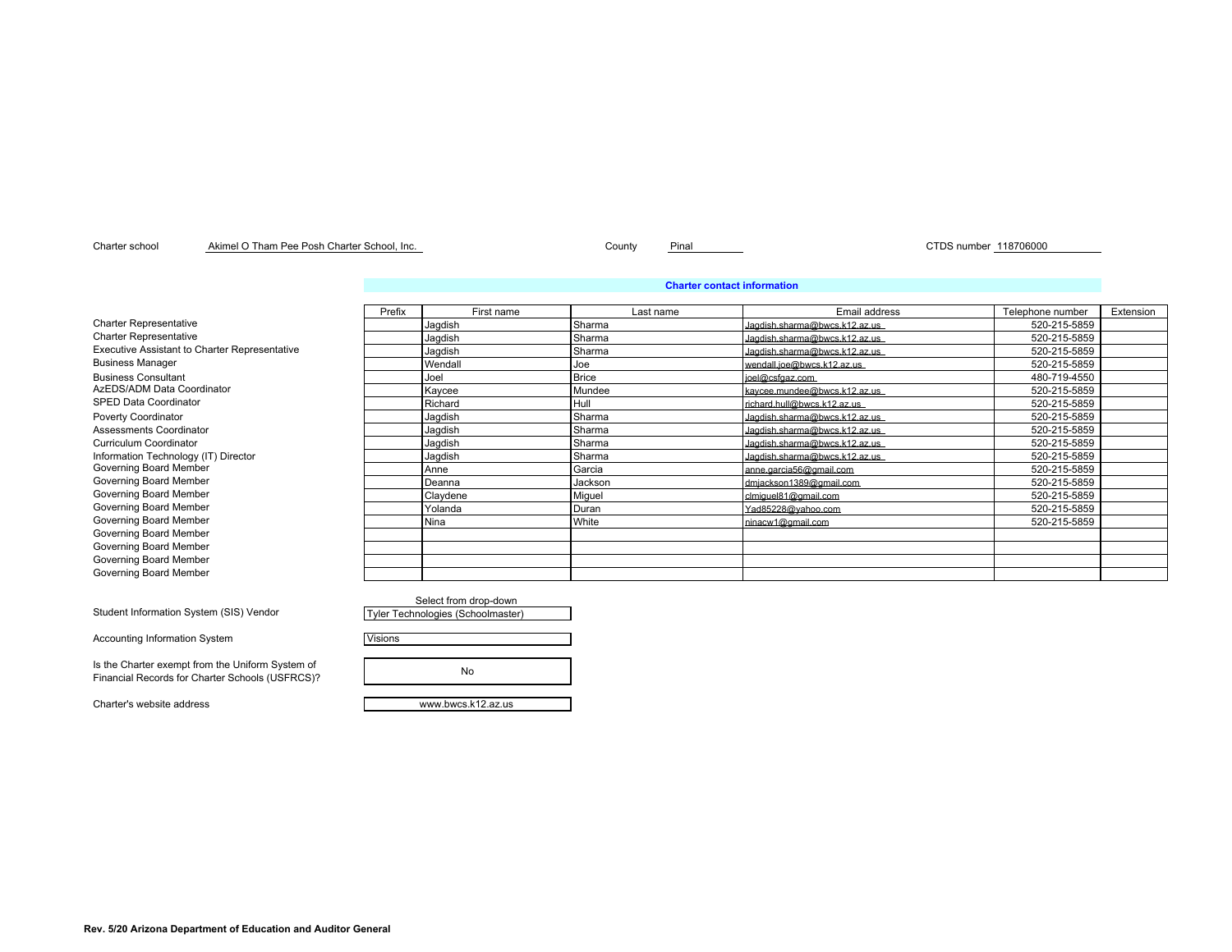### Charter school County Pinal CTDS number 118706000 Akimel O Tham Pee Posh Charter School, Inc.

### **Charter contact information**

|                                                      | Prefix | First name | Last name    | Email address                 | Telephone number | Extension |
|------------------------------------------------------|--------|------------|--------------|-------------------------------|------------------|-----------|
| <b>Charter Representative</b>                        |        | Jagdish    | Sharma       | Jagdish.sharma@bwcs.k12.az.us | 520-215-5859     |           |
| <b>Charter Representative</b>                        |        | Jagdish    | Sharma       | Jagdish.sharma@bwcs.k12.az.us | 520-215-5859     |           |
| <b>Executive Assistant to Charter Representative</b> |        | Jagdish    | Sharma       | Jagdish.sharma@bwcs.k12.az.us | 520-215-5859     |           |
| <b>Business Manager</b>                              |        | Wendall    | Joe          | wendall.joe@bwcs.k12.az.us    | 520-215-5859     |           |
| <b>Business Consultant</b>                           |        | Joel       | <b>Brice</b> | ioel@csfgaz.com               | 480-719-4550     |           |
| AzEDS/ADM Data Coordinator                           |        | Kaycee     | Mundee       | kavcee.mundee@bwcs.k12.az.us  | 520-215-5859     |           |
| <b>SPED Data Coordinator</b>                         |        | Richard    | Hull         | richard.hull@bwcs.k12.az.us   | 520-215-5859     |           |
| <b>Poverty Coordinator</b>                           |        | Jagdish    | Sharma       | Jagdish.sharma@bwcs.k12.az.us | 520-215-5859     |           |
| Assessments Coordinator                              |        | Jagdish    | Sharma       | Jacdish sharma@bwcs.k12.az.us | 520-215-5859     |           |
| Curriculum Coordinator                               |        | Jagdish    | Sharma       | Jagdish.sharma@bwcs.k12.az.us | 520-215-5859     |           |
| Information Technology (IT) Director                 |        | Jagdish    | Sharma       | Jagdish.sharma@bwcs.k12.az.us | 520-215-5859     |           |
| Governing Board Member                               |        | Anne       | Garcia       | anne.garcia56@gmail.com       | 520-215-5859     |           |
| Governing Board Member                               |        | Deanna     | Jackson      | dmiackson1389@gmail.com       | 520-215-5859     |           |
| Governing Board Member                               |        | Claydene   | Miguel       | clmiquel81@gmail.com          | 520-215-5859     |           |
| Governing Board Member                               |        | Yolanda    | Duran        | Yad85228@vahoo.com            | 520-215-5859     |           |
| Governing Board Member                               |        | Nina       | White        | ninacw1@gmail.com             | 520-215-5859     |           |
| Governing Board Member                               |        |            |              |                               |                  |           |
| Governing Board Member                               |        |            |              |                               |                  |           |
| Governing Board Member                               |        |            |              |                               |                  |           |
| Governing Board Member                               |        |            |              |                               |                  |           |

|                                   | Select from drop-down |  |
|-----------------------------------|-----------------------|--|
| Tyler Technologies (Schoolmaster) |                       |  |

Visions

No

Charter's website address www.bwcs.k12.az.us

Student Information System (SIS) Vendor Governing Board Men

Accounting Information System

Is the Charter exempt from the Uniform System of Financial Records for Charter Schools (USFRCS)?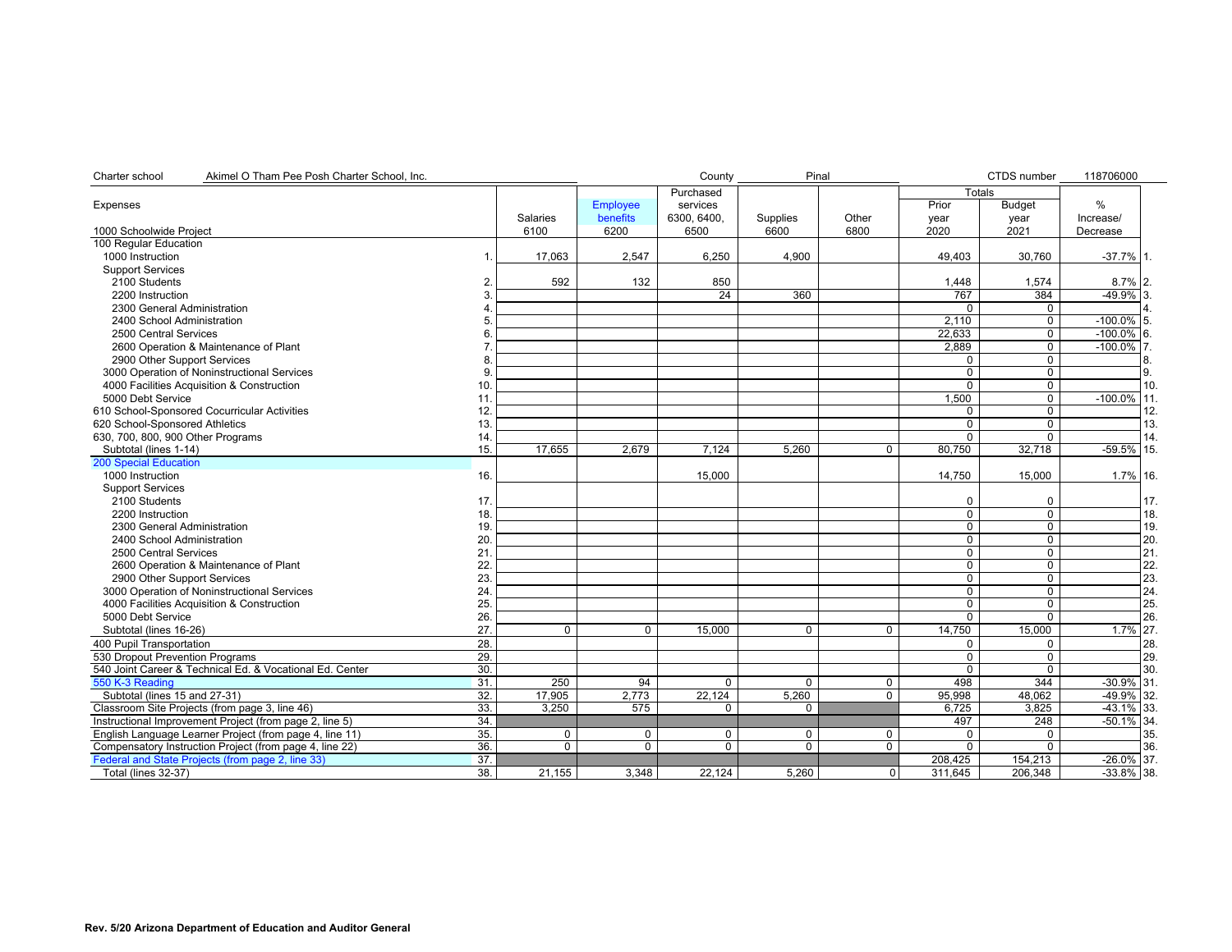| Charter school<br>Akimel O Tham Pee Posh Charter School, Inc. |     |                 |                 | County      | Pinal          |                |               | CTDS number    | 118706000      |     |
|---------------------------------------------------------------|-----|-----------------|-----------------|-------------|----------------|----------------|---------------|----------------|----------------|-----|
|                                                               |     |                 |                 | Purchased   |                |                | <b>Totals</b> |                |                |     |
| Expenses                                                      |     |                 | <b>Employee</b> | services    |                |                | Prior         | <b>Budget</b>  | %              |     |
|                                                               |     | <b>Salaries</b> | benefits        | 6300.6400.  | Supplies       | Other          | year          | year           | Increase/      |     |
| 1000 Schoolwide Project                                       |     | 6100            | 6200            | 6500        | 6600           | 6800           | 2020          | 2021           | Decrease       |     |
| 100 Regular Education                                         |     |                 |                 |             |                |                |               |                |                |     |
| 1000 Instruction                                              | 1   | 17,063          | 2,547           | 6,250       | 4,900          |                | 49,403        | 30,760         | $-37.7\%$ 1.   |     |
| <b>Support Services</b>                                       |     |                 |                 |             |                |                |               |                |                |     |
| 2100 Students                                                 | 2   | 592             | 132             | 850         |                |                | 1,448         | 1,574          | $8.7\%$ 2.     |     |
| 2200 Instruction                                              |     |                 |                 | 24          | 360            |                | 767           | 384            | $-49.9%$ 3.    |     |
| 2300 General Administration                                   |     |                 |                 |             |                |                | $\Omega$      | 0              |                |     |
| 2400 School Administration                                    |     |                 |                 |             |                |                | 2.110         | $\mathbf 0$    | $-100.0\%$ 5.  |     |
| 2500 Central Services                                         |     |                 |                 |             |                |                | 22,633        | $\mathbf 0$    | $-100.0\%$ 6.  |     |
| 2600 Operation & Maintenance of Plant                         |     |                 |                 |             |                |                | 2.889         | $\mathbf 0$    | $-100.0\%$ 7.  |     |
| 2900 Other Support Services                                   |     |                 |                 |             |                |                |               | $\mathbf 0$    |                |     |
| 3000 Operation of Noninstructional Services                   |     |                 |                 |             |                |                | $\Omega$      | $\overline{0}$ |                | 9.  |
| 4000 Facilities Acquisition & Construction                    | 10  |                 |                 |             |                |                | $\Omega$      | $\mathbf 0$    |                | 10. |
| 5000 Debt Service                                             | 11  |                 |                 |             |                |                | 1,500         | $\mathbf 0$    | $-100.0\%$ 11. |     |
| 610 School-Sponsored Cocurricular Activities                  | 12  |                 |                 |             |                |                | 0             | $\overline{0}$ |                | 12. |
| 620 School-Sponsored Athletics                                | 13  |                 |                 |             |                |                | 0             | $\mathbf 0$    |                | 13. |
| 630, 700, 800, 900 Other Programs                             | 14  |                 |                 |             |                |                | U             | $\Omega$       |                | 14. |
| Subtotal (lines 1-14)                                         | 15  | 17,655          | 2,679           | 7,124       | 5,260          | $\Omega$       | 80.750        | 32,718         | $-59.5\%$ 15.  |     |
| <b>200 Special Education</b>                                  |     |                 |                 |             |                |                |               |                |                |     |
| 1000 Instruction                                              | 16. |                 |                 | 15,000      |                |                | 14,750        | 15,000         | 1.7% 16.       |     |
| <b>Support Services</b>                                       |     |                 |                 |             |                |                |               |                |                |     |
| 2100 Students                                                 | 17  |                 |                 |             |                |                | 0             | $\Omega$       |                | 17. |
| 2200 Instruction                                              | 18  |                 |                 |             |                |                | 0             | $\pmb{0}$      |                | 18. |
| 2300 General Administration                                   | 19  |                 |                 |             |                |                | $\Omega$      | $\mathbf 0$    |                | 19. |
| 2400 School Administration                                    | 20  |                 |                 |             |                |                | $\Omega$      | $\mathbf 0$    |                | 20. |
| 2500 Central Services                                         | 21  |                 |                 |             |                |                | 0             | $\mathbf 0$    |                | 21. |
| 2600 Operation & Maintenance of Plant                         | 22  |                 |                 |             |                |                | 0             | $\mathbf 0$    |                | 22. |
| 2900 Other Support Services                                   | 23  |                 |                 |             |                |                | 0             | $\overline{0}$ |                | 23. |
| 3000 Operation of Noninstructional Services                   | 24  |                 |                 |             |                |                | 0             | $\overline{0}$ |                | 24. |
| 4000 Facilities Acquisition & Construction                    | 25  |                 |                 |             |                |                | 0             | 0              |                | 25. |
| 5000 Debt Service                                             | 26  |                 |                 |             |                |                | $\Omega$      | $\overline{0}$ |                | 26. |
| Subtotal (lines 16-26)                                        | 27  | $\Omega$        | $\mathbf 0$     | 15,000      | $\Omega$       | $\Omega$       | 14,750        | 15,000         | 1.7% 27.       |     |
| 400 Pupil Transportation                                      | 28. |                 |                 |             |                |                | 0             | 0              |                | 28. |
| 530 Dropout Prevention Programs                               | 29. |                 |                 |             |                |                | 0             | $\mathbf 0$    |                | 29. |
| 540 Joint Career & Technical Ed. & Vocational Ed. Center      | 30. |                 |                 |             |                |                | $\Omega$      | $\Omega$       |                | 30. |
| 550 K-3 Reading                                               | 31  | 250             | 94              | $\Omega$    | $\Omega$       | $\mathbf 0$    | 498           | 344            | $-30.9\%$ 31.  |     |
| Subtotal (lines 15 and 27-31)                                 | 32. | 17,905          | 2,773           | 22,124      | 5,260          | $\mathbf 0$    | 95,998        | 48,062         | $-49.9\%$ 32.  |     |
| Classroom Site Projects (from page 3, line 46)                | 33. | 3.250           | 575             | $\Omega$    | 0              |                | 6.725         | 3.825          | $-43.1\%$ 33.  |     |
| Instructional Improvement Project (from page 2, line 5)       | 34. |                 |                 |             |                |                | 497           | 248            | $-50.1\%$ 34.  |     |
| English Language Learner Project (from page 4, line 11)       | 35. | 0               | 0               | $\mathbf 0$ | $\mathbf 0$    | $\mathbf 0$    | $\Omega$      | $\mathbf 0$    |                | 35. |
| Compensatory Instruction Project (from page 4, line 22)       | 36. | $\overline{0}$  | $\overline{0}$  | $\Omega$    | $\overline{0}$ | $\Omega$       | $\Omega$      | $\overline{0}$ |                | 36. |
| Federal and State Projects (from page 2, line 33)             | 37. |                 |                 |             |                |                | 208,425       | 154,213        | $-26.0\%$ 37.  |     |
| <b>Total (lines 32-37)</b>                                    | 38. | 21,155          | 3,348           | 22,124      | 5.260          | $\overline{0}$ | 311,645       | 206,348        | $-33.8\%$ 38.  |     |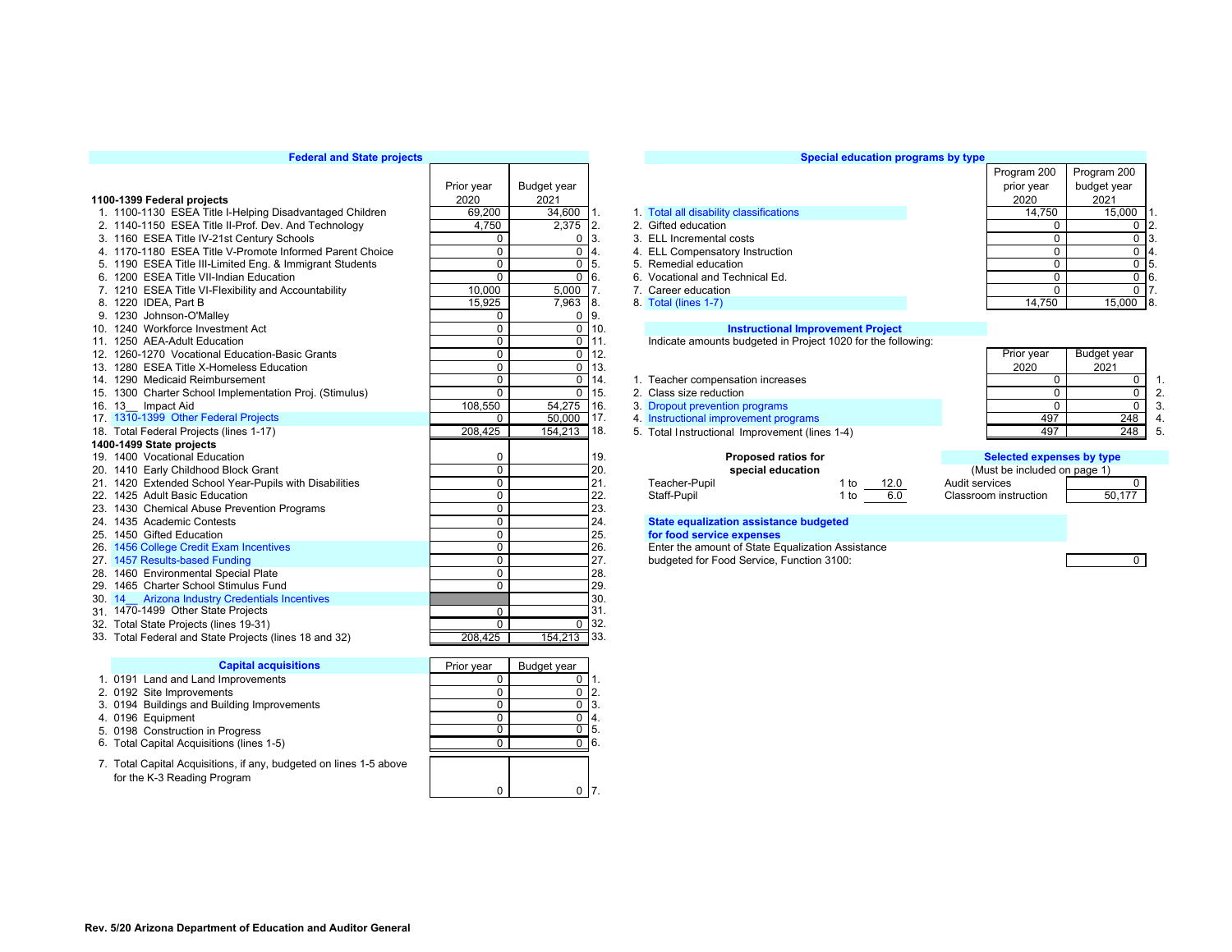## **Federal and State projects**

|                                                          | Prior year   | Budget year    |                    |                                                              |              | prior year                   | budget year               |                   |  |
|----------------------------------------------------------|--------------|----------------|--------------------|--------------------------------------------------------------|--------------|------------------------------|---------------------------|-------------------|--|
| 1100-1399 Federal projects                               | 2020         | 2021           |                    |                                                              |              | 2020                         | 2021                      |                   |  |
| 1. 1100-1130 ESEA Title I-Helping Disadvantaged Children | 69,200       | 34,600         |                    | 1. Total all disability classifications                      |              | 14.750                       |                           | 15,000            |  |
| 2. 1140-1150 ESEA Title II-Prof. Dev. And Technology     | 4.750        | 2,375          | 12.                | 2. Gifted education                                          |              |                              | $\mathbf 0$               | $\Omega$          |  |
| 3. 1160 ESEA Title IV-21st Century Schools               | 0            | $\Omega$       | 3.                 | 3. ELL Incremental costs                                     |              |                              | $\mathbf 0$               | $\mathbf 0$       |  |
| 4. 1170-1180 ESEA Title V-Promote Informed Parent Choice | $\pmb{0}$    | $\Omega$       |                    | 4. ELL Compensatory Instruction                              |              |                              | $\Omega$                  | 0                 |  |
| 5. 1190 ESEA Title III-Limited Eng. & Immigrant Students | 0            | $\mathbf 0$    | 5                  | 5. Remedial education                                        |              |                              | $\mathbf 0$               | $\mathbf 0$<br>5. |  |
| 6. 1200 ESEA Title VII-Indian Education                  | $\mathbf 0$  | $\mathbf 0$    | 6.                 | 6. Vocational and Technical Ed.                              |              |                              | $\mathbf 0$               | 6.<br>$\mathbf 0$ |  |
| 7. 1210 ESEA Title VI-Flexibility and Accountability     | 10,000       | 5,000          |                    | 7. Career education                                          |              |                              | $\Omega$                  | 0 <sub>17</sub>   |  |
| 8. 1220 IDEA, Part B                                     | 15,925       | 7,963          | 8.                 | 8. Total (lines 1-7)                                         |              | 14,750                       |                           | $15,000$ 8.       |  |
| 9. 1230 Johnson-O'Malley                                 | 0            | 0              | 9                  |                                                              |              |                              |                           |                   |  |
| 10. 1240 Workforce Investment Act                        | 0            | $\overline{0}$ | T10.               | <b>Instructional Improvement Project</b>                     |              |                              |                           |                   |  |
| 11. 1250 AEA-Adult Education                             | $\mathbf 0$  |                | $\overline{0}$ 11. | Indicate amounts budgeted in Project 1020 for the following: |              |                              |                           |                   |  |
| 12. 1260-1270 Vocational Education-Basic Grants          | $\mathbf 0$  | $\mathbf 0$    | 12.                |                                                              |              | Prior year                   | Budget year               |                   |  |
| 13. 1280 ESEA Title X-Homeless Education                 | $\mathbf 0$  | $\mathbf 0$    | <sup>13.</sup>     |                                                              |              | 2020                         | 2021                      |                   |  |
| 14. 1290 Medicaid Reimbursement                          | $\mathbf 0$  | $\mathbf 0$    | 14.                | 1. Teacher compensation increases                            |              |                              | $\mathbf{0}$              | 0                 |  |
| 15. 1300 Charter School Implementation Proj. (Stimulus)  | $\Omega$     | $\Omega$       | 15.                | 2. Class size reduction                                      |              |                              | $\Omega$                  | $\mathbf 0$       |  |
| 16. 13 Impact Aid                                        | 108.550      | 54,275         | 16.                | 3. Dropout prevention programs                               |              |                              | $\Omega$                  | $\mathbf 0$       |  |
| 17. 1310-1399 Other Federal Projects                     | 0            | 50,000         | 17.                | 4. Instructional improvement programs                        |              |                              | 497                       | 248               |  |
| 18. Total Federal Projects (lines 1-17)                  | 208.425      | 154,213        | T18.               | 5. Total Instructional Improvement (lines 1-4)               |              |                              | 497                       | 248               |  |
| 1400-1499 State projects                                 |              |                |                    |                                                              |              |                              |                           |                   |  |
| 19. 1400 Vocational Education                            | 0            |                | 19.                | Proposed ratios for                                          |              |                              | Selected expenses by type |                   |  |
| 20. 1410 Early Childhood Block Grant                     | $\mathbf 0$  |                | 20.                | special education                                            |              | (Must be included on page 1) |                           |                   |  |
| 21. 1420 Extended School Year-Pupils with Disabilities   | 0            |                | 21.                | Teacher-Pupil                                                | 1 to<br>12.0 | Audit services               |                           | $\Omega$          |  |
| 22. 1425 Adult Basic Education                           | $\mathbf 0$  |                | 22.                | Staff-Pupil                                                  | 6.0<br>1 to  | Classroom instruction        |                           | 50,177            |  |
| 23. 1430 Chemical Abuse Prevention Programs              | $\mathbf 0$  |                | 23.                |                                                              |              |                              |                           |                   |  |
| 24. 1435 Academic Contests                               | $\mathbf 0$  |                | 24.                | <b>State equalization assistance budgeted</b>                |              |                              |                           |                   |  |
| 25. 1450 Gifted Education                                | $\mathbf 0$  |                | 25.                | for food service expenses                                    |              |                              |                           |                   |  |
| 26. 1456 College Credit Exam Incentives                  | 0            |                | 26.                | Enter the amount of State Equalization Assistance            |              |                              |                           |                   |  |
| 27. 1457 Results-based Funding                           | 0            |                | 27.                | budgeted for Food Service, Function 3100:                    |              |                              |                           | $\mathbf{0}$      |  |
| 28. 1460 Environmental Special Plate                     | $\mathbf 0$  |                | 28.                |                                                              |              |                              |                           |                   |  |
| 29. 1465 Charter School Stimulus Fund                    | $\mathbf 0$  |                | 29.                |                                                              |              |                              |                           |                   |  |
| <b>Arizona Industry Credentials Incentives</b><br>30.14  |              |                | 30.                |                                                              |              |                              |                           |                   |  |
| 31. 1470-1499 Other State Projects                       | $\mathbf 0$  |                | 31.                |                                                              |              |                              |                           |                   |  |
| 32. Total State Projects (lines 19-31)                   | $\mathbf{0}$ |                | $\overline{0}$ 32. |                                                              |              |                              |                           |                   |  |
| 33. Total Federal and State Projects (lines 18 and 32)   | 208,425      | 154,213 33.    |                    |                                                              |              |                              |                           |                   |  |
|                                                          |              |                |                    |                                                              |              |                              |                           |                   |  |
| <b>Capital acquisitions</b>                              | Prior year   | Budget year    |                    |                                                              |              |                              |                           |                   |  |

| 1. 0191 Land and Land Improvements                                                                |  | -1. |
|---------------------------------------------------------------------------------------------------|--|-----|
| 2. 0192 Site Improvements                                                                         |  | 12. |
| 3. 0194 Buildings and Building Improvements                                                       |  | 13. |
| 4. 0196 Equipment                                                                                 |  | 14. |
| 5. 0198 Construction in Progress                                                                  |  | 15. |
| 6. Total Capital Acquisitions (lines 1-5)                                                         |  | 16. |
| 7. Total Capital Acquisitions, if any, budgeted on lines 1-5 above<br>for the K-3 Reading Program |  |     |

| Prior year     | Budget year    |     |
|----------------|----------------|-----|
| 2020           | 2021           |     |
| 69,200         | 34,600         | 1.  |
| 4,750          | 2,375          | 2.  |
| 0              | 0              | 3.  |
| 0              | 0              | 4.  |
| 0              | 0              | 5.  |
| 0              | $\Omega$       | 6.  |
| 10,000         | 5,000          | 7.  |
| 15,925         | 7,963          | 8.  |
| 0              | 0              | 9.  |
| 0              | $\overline{0}$ | 10. |
| 0              | 0              | 11. |
| 0              | 0              | 12. |
| 0              | 0              | 13. |
| 0              | 0              | 14. |
| 0              | $\Omega$       | 15. |
| 108,550        | 54,275         | 16. |
| 0              | 50,000         | 17. |
| 208,425        | 154,213        | 18. |
|                |                |     |
| 0              |                | 19. |
| $\Omega$       |                | 20. |
| 0              |                | 21. |
| $\Omega$       |                | 22. |
| 0              |                | 23. |
| 0              |                | 24. |
| 0              |                | 25. |
| $\Omega$       |                | 26. |
| 0              |                | 27. |
| 0              |                | 28. |
| $\overline{0}$ |                | 29. |
|                |                | 30. |
| 0              |                | 31. |
| 0              | 0              | 32. |
| 208.425        | 154,213        | 33. |
|                |                |     |
| D.<br>ż.       | n.,<br>a.      |     |

## **Special education programs by type**

|                                                          | Prior year | Budget year |                                         | prior year | budget year |       |
|----------------------------------------------------------|------------|-------------|-----------------------------------------|------------|-------------|-------|
| 100-1399 Federal projects                                | 2020       | 2021        |                                         | 2020       | 2021        |       |
| 1. 1100-1130 ESEA Title I-Helping Disadvantaged Children | 69.200     | 34.600      | 1. Total all disability classifications | 14.750     | 15,000 1.   |       |
| 2. 1140-1150 ESEA Title II-Prof. Dev. And Technology     | 4.750      | $2,375$ 2.  | 2. Gifted education                     |            |             | J 12. |
| 3. 1160 ESEA Title IV-21st Century Schools               |            | 0 13.       | 3. ELL Incremental costs                |            |             |       |
| 4. 1170-1180 ESEA Title V-Promote Informed Parent Choice |            | 014.        | 4. ELL Compensatory Instruction         |            |             |       |
| 5. 1190 ESEA Title III-Limited Eng. & Immigrant Students |            | $0 \; 15.$  | 5. Remedial education                   |            |             |       |
| 6. 1200 ESEA Title VII-Indian Education                  |            | $0 \, 6.$   | 6. Vocational and Technical Ed.         |            |             | ) (б  |
| 7. 1210 ESEA Title VI-Flexibility and Accountability     | 10,000     | $5,000$ 7.  | 7. Career education                     |            |             |       |
|                                                          |            | .           |                                         |            | .           |       |

| 1 Teacher compensation increases |  |
|----------------------------------|--|

|  | 2. Class size reduction |  |
|--|-------------------------|--|
|  |                         |  |

- 
- 

| oposed ratios for |      |      | <b>Selected expenses b</b> |
|-------------------|------|------|----------------------------|
| pecial education  |      |      | (Must be included on pa    |
|                   | 1 to | 12 N | Audit services             |
|                   | 1 to |      | Classroom instruction      |

| Prior year | Budget year |    |
|------------|-------------|----|
| 2020       | 2021        |    |
| 0          |             |    |
| י          |             | 2. |
| 0          |             | 3. |
| 497        | 248         |    |
|            | 248         | 5  |

Program 200

| <b>Proposed ratios for</b><br>special education                                                |                             | Selected expenses by type<br>(Must be included on page 1) |             |
|------------------------------------------------------------------------------------------------|-----------------------------|-----------------------------------------------------------|-------------|
| Teacher-Pupil<br>Staff-Pupil                                                                   | 12.0<br>1 to<br>6.0<br>1 to | Audit services<br>Classroom instruction                   | O<br>50,177 |
| State equalization assistance budgeted<br>for food service expenses                            |                             |                                                           |             |
| Enter the amount of State Equalization Assistance<br>budgeted for Food Service, Function 3100: |                             |                                                           | n           |

| 5           |
|-------------|
| 6           |
|             |
| Budget year |



Program 200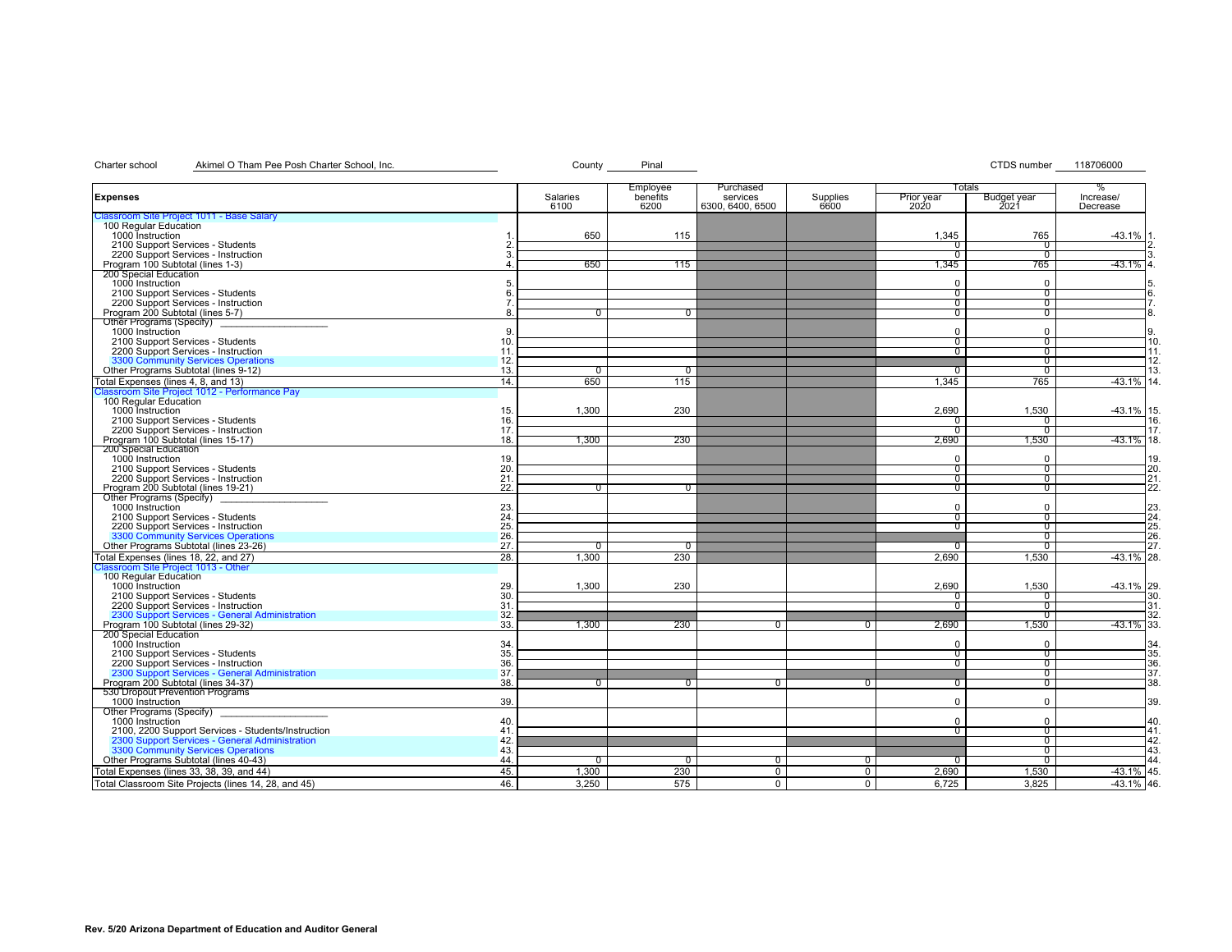# Charter school Akimel O Tham Pee Posh Charter School, Inc. Charter School, Inc. County Pinal County Pinal CTDS number 118706000

| Totals<br>Employee<br>Purchased<br>Salaries<br>Supplies<br><b>Expenses</b><br>benefits<br>services<br>Prior year<br>2020<br><b>Budget year</b><br>6300, 6400, 6500<br>6100<br>6200<br>6600<br>2021<br>sroom Site Project 1011 - Base Salary<br>100 Regular Education<br>1000 Instruction<br>650<br>115<br>1,345<br>765<br>2100 Support Services - Students<br><sup>0</sup><br>0<br>2200 Support Services - Instruction<br>$^{\circ}$<br>$^{\rm o}$<br>Program 100 Subtotal (lines 1-3)<br>650<br>115<br>1,345<br>765<br>200 Special Education<br>1000 Instruction<br>$\Omega$<br>$\Omega$<br>2100 Support Services - Students<br>$\sigma$<br>0<br>2200 Support Services - Instruction<br>0<br>$\Omega$<br>Program 200 Subtotal (lines 5-7)<br>8<br>$\sigma$<br>$^{\rm o}$<br>0<br>$^{\circ}$<br>Other Programs (Specify)<br>1000 Instruction<br>9.<br>$\Omega$<br>$\Omega$<br>2100 Support Services - Students<br>10<br>$^{\circ}$<br>$\Omega$<br>2200 Support Services - Instruction<br>11.<br>᠐<br>$\sigma$<br>3300 Community Services Operations<br>12.<br>0<br>Other Programs Subtotal (lines 9-12)<br>13.<br>$\sigma$<br>$\sigma$<br>$^{\rm o}$<br>0<br>Total Expenses (lines 4, 8, and 13)<br>14.<br>650<br>765<br>115<br>1,345<br>Classroom Site Project 1012 - Performance Pay<br>100 Regular Education<br>230<br>2.690<br>1000 Instruction<br>15.<br>1,300<br>1,530<br>16.<br>2100 Support Services - Students<br>0<br>O<br>2200 Support Services - Instruction<br>17.<br>$^{\rm o}$<br>$^{\rm o}$<br>Program 100 Subtotal (lines 15-17)<br>18.<br>230<br>2,690<br>1,300<br>1,530<br>200 Special Education<br>1000 Instruction<br>19.<br>$\Omega$<br>$\Omega$<br>20.<br>2100 Support Services - Students<br>$\sigma$<br>$^{\rm o}$<br>2200 Support Services - Instruction<br>21<br>$\overline{0}$<br>0<br>22.<br>Program 200 Subtotal (lines 19-21)<br>0<br>0.<br>$^{\circ}$<br>$^{\circ}$<br>Other Programs (Specify)<br>1000 Instruction<br>23<br>$\Omega$<br>0<br>24<br>2100 Support Services - Students<br>$^{\circ}$<br>$^{\circ}$<br>25<br>2200 Support Services - Instruction<br>$^{\circ}$<br>$^{\rm o}$<br>3300 Community Services Operations<br>$\frac{26}{27}$<br>$\overline{0}$<br>Other Programs Subtotal (lines 23-26)<br>0<br>᠊᠐<br>0<br>0<br>Total Expenses (lines 18, 22, and 27)<br>28.<br>1,300<br>230<br>2,690<br>1,530<br>Classroom Site Project 1013 - Other<br>100 Regular Education<br>1000 Instruction<br>29<br>1.300<br>230<br>2.690<br>1.530<br>30<br>2100 Support Services - Students<br>$^{\circ}$<br>$^{\rm o}$<br>2200 Support Services - Instruction<br>31<br>$\sigma$<br>$\sigma$<br>2300 Support Services - General Administration<br>32<br>$^{\rm o}$<br>Program 100 Subtotal (lines 29-32)<br>33.<br>1.300<br>230<br>2,690<br>1,530<br>$^{\circ}$<br>$^{\circ}$<br>200 Special Education<br>34<br>$\Omega$<br>$\Omega$<br>35.<br>2100 Support Services - Students | %                     |
|----------------------------------------------------------------------------------------------------------------------------------------------------------------------------------------------------------------------------------------------------------------------------------------------------------------------------------------------------------------------------------------------------------------------------------------------------------------------------------------------------------------------------------------------------------------------------------------------------------------------------------------------------------------------------------------------------------------------------------------------------------------------------------------------------------------------------------------------------------------------------------------------------------------------------------------------------------------------------------------------------------------------------------------------------------------------------------------------------------------------------------------------------------------------------------------------------------------------------------------------------------------------------------------------------------------------------------------------------------------------------------------------------------------------------------------------------------------------------------------------------------------------------------------------------------------------------------------------------------------------------------------------------------------------------------------------------------------------------------------------------------------------------------------------------------------------------------------------------------------------------------------------------------------------------------------------------------------------------------------------------------------------------------------------------------------------------------------------------------------------------------------------------------------------------------------------------------------------------------------------------------------------------------------------------------------------------------------------------------------------------------------------------------------------------------------------------------------------------------------------------------------------------------------------------------------------------------------------------------------------------------------------------------------------------------------------------------------------------------------------------------------------------------------------------------------------------------------------------------------------------------------------------------------|-----------------------|
|                                                                                                                                                                                                                                                                                                                                                                                                                                                                                                                                                                                                                                                                                                                                                                                                                                                                                                                                                                                                                                                                                                                                                                                                                                                                                                                                                                                                                                                                                                                                                                                                                                                                                                                                                                                                                                                                                                                                                                                                                                                                                                                                                                                                                                                                                                                                                                                                                                                                                                                                                                                                                                                                                                                                                                                                                                                                                                                | Increase/<br>Decrease |
|                                                                                                                                                                                                                                                                                                                                                                                                                                                                                                                                                                                                                                                                                                                                                                                                                                                                                                                                                                                                                                                                                                                                                                                                                                                                                                                                                                                                                                                                                                                                                                                                                                                                                                                                                                                                                                                                                                                                                                                                                                                                                                                                                                                                                                                                                                                                                                                                                                                                                                                                                                                                                                                                                                                                                                                                                                                                                                                |                       |
|                                                                                                                                                                                                                                                                                                                                                                                                                                                                                                                                                                                                                                                                                                                                                                                                                                                                                                                                                                                                                                                                                                                                                                                                                                                                                                                                                                                                                                                                                                                                                                                                                                                                                                                                                                                                                                                                                                                                                                                                                                                                                                                                                                                                                                                                                                                                                                                                                                                                                                                                                                                                                                                                                                                                                                                                                                                                                                                |                       |
|                                                                                                                                                                                                                                                                                                                                                                                                                                                                                                                                                                                                                                                                                                                                                                                                                                                                                                                                                                                                                                                                                                                                                                                                                                                                                                                                                                                                                                                                                                                                                                                                                                                                                                                                                                                                                                                                                                                                                                                                                                                                                                                                                                                                                                                                                                                                                                                                                                                                                                                                                                                                                                                                                                                                                                                                                                                                                                                | $-43.1%$              |
|                                                                                                                                                                                                                                                                                                                                                                                                                                                                                                                                                                                                                                                                                                                                                                                                                                                                                                                                                                                                                                                                                                                                                                                                                                                                                                                                                                                                                                                                                                                                                                                                                                                                                                                                                                                                                                                                                                                                                                                                                                                                                                                                                                                                                                                                                                                                                                                                                                                                                                                                                                                                                                                                                                                                                                                                                                                                                                                | 2<br>13               |
|                                                                                                                                                                                                                                                                                                                                                                                                                                                                                                                                                                                                                                                                                                                                                                                                                                                                                                                                                                                                                                                                                                                                                                                                                                                                                                                                                                                                                                                                                                                                                                                                                                                                                                                                                                                                                                                                                                                                                                                                                                                                                                                                                                                                                                                                                                                                                                                                                                                                                                                                                                                                                                                                                                                                                                                                                                                                                                                | $-43.1\%$ 4.          |
|                                                                                                                                                                                                                                                                                                                                                                                                                                                                                                                                                                                                                                                                                                                                                                                                                                                                                                                                                                                                                                                                                                                                                                                                                                                                                                                                                                                                                                                                                                                                                                                                                                                                                                                                                                                                                                                                                                                                                                                                                                                                                                                                                                                                                                                                                                                                                                                                                                                                                                                                                                                                                                                                                                                                                                                                                                                                                                                |                       |
|                                                                                                                                                                                                                                                                                                                                                                                                                                                                                                                                                                                                                                                                                                                                                                                                                                                                                                                                                                                                                                                                                                                                                                                                                                                                                                                                                                                                                                                                                                                                                                                                                                                                                                                                                                                                                                                                                                                                                                                                                                                                                                                                                                                                                                                                                                                                                                                                                                                                                                                                                                                                                                                                                                                                                                                                                                                                                                                | 5                     |
|                                                                                                                                                                                                                                                                                                                                                                                                                                                                                                                                                                                                                                                                                                                                                                                                                                                                                                                                                                                                                                                                                                                                                                                                                                                                                                                                                                                                                                                                                                                                                                                                                                                                                                                                                                                                                                                                                                                                                                                                                                                                                                                                                                                                                                                                                                                                                                                                                                                                                                                                                                                                                                                                                                                                                                                                                                                                                                                | 6                     |
|                                                                                                                                                                                                                                                                                                                                                                                                                                                                                                                                                                                                                                                                                                                                                                                                                                                                                                                                                                                                                                                                                                                                                                                                                                                                                                                                                                                                                                                                                                                                                                                                                                                                                                                                                                                                                                                                                                                                                                                                                                                                                                                                                                                                                                                                                                                                                                                                                                                                                                                                                                                                                                                                                                                                                                                                                                                                                                                | 17.                   |
|                                                                                                                                                                                                                                                                                                                                                                                                                                                                                                                                                                                                                                                                                                                                                                                                                                                                                                                                                                                                                                                                                                                                                                                                                                                                                                                                                                                                                                                                                                                                                                                                                                                                                                                                                                                                                                                                                                                                                                                                                                                                                                                                                                                                                                                                                                                                                                                                                                                                                                                                                                                                                                                                                                                                                                                                                                                                                                                | Ϊ8.                   |
|                                                                                                                                                                                                                                                                                                                                                                                                                                                                                                                                                                                                                                                                                                                                                                                                                                                                                                                                                                                                                                                                                                                                                                                                                                                                                                                                                                                                                                                                                                                                                                                                                                                                                                                                                                                                                                                                                                                                                                                                                                                                                                                                                                                                                                                                                                                                                                                                                                                                                                                                                                                                                                                                                                                                                                                                                                                                                                                |                       |
|                                                                                                                                                                                                                                                                                                                                                                                                                                                                                                                                                                                                                                                                                                                                                                                                                                                                                                                                                                                                                                                                                                                                                                                                                                                                                                                                                                                                                                                                                                                                                                                                                                                                                                                                                                                                                                                                                                                                                                                                                                                                                                                                                                                                                                                                                                                                                                                                                                                                                                                                                                                                                                                                                                                                                                                                                                                                                                                | 9.                    |
|                                                                                                                                                                                                                                                                                                                                                                                                                                                                                                                                                                                                                                                                                                                                                                                                                                                                                                                                                                                                                                                                                                                                                                                                                                                                                                                                                                                                                                                                                                                                                                                                                                                                                                                                                                                                                                                                                                                                                                                                                                                                                                                                                                                                                                                                                                                                                                                                                                                                                                                                                                                                                                                                                                                                                                                                                                                                                                                | 10                    |
|                                                                                                                                                                                                                                                                                                                                                                                                                                                                                                                                                                                                                                                                                                                                                                                                                                                                                                                                                                                                                                                                                                                                                                                                                                                                                                                                                                                                                                                                                                                                                                                                                                                                                                                                                                                                                                                                                                                                                                                                                                                                                                                                                                                                                                                                                                                                                                                                                                                                                                                                                                                                                                                                                                                                                                                                                                                                                                                | 11.                   |
|                                                                                                                                                                                                                                                                                                                                                                                                                                                                                                                                                                                                                                                                                                                                                                                                                                                                                                                                                                                                                                                                                                                                                                                                                                                                                                                                                                                                                                                                                                                                                                                                                                                                                                                                                                                                                                                                                                                                                                                                                                                                                                                                                                                                                                                                                                                                                                                                                                                                                                                                                                                                                                                                                                                                                                                                                                                                                                                | 12.                   |
|                                                                                                                                                                                                                                                                                                                                                                                                                                                                                                                                                                                                                                                                                                                                                                                                                                                                                                                                                                                                                                                                                                                                                                                                                                                                                                                                                                                                                                                                                                                                                                                                                                                                                                                                                                                                                                                                                                                                                                                                                                                                                                                                                                                                                                                                                                                                                                                                                                                                                                                                                                                                                                                                                                                                                                                                                                                                                                                | 13.                   |
|                                                                                                                                                                                                                                                                                                                                                                                                                                                                                                                                                                                                                                                                                                                                                                                                                                                                                                                                                                                                                                                                                                                                                                                                                                                                                                                                                                                                                                                                                                                                                                                                                                                                                                                                                                                                                                                                                                                                                                                                                                                                                                                                                                                                                                                                                                                                                                                                                                                                                                                                                                                                                                                                                                                                                                                                                                                                                                                | $-43.1\%$ 14.         |
|                                                                                                                                                                                                                                                                                                                                                                                                                                                                                                                                                                                                                                                                                                                                                                                                                                                                                                                                                                                                                                                                                                                                                                                                                                                                                                                                                                                                                                                                                                                                                                                                                                                                                                                                                                                                                                                                                                                                                                                                                                                                                                                                                                                                                                                                                                                                                                                                                                                                                                                                                                                                                                                                                                                                                                                                                                                                                                                |                       |
|                                                                                                                                                                                                                                                                                                                                                                                                                                                                                                                                                                                                                                                                                                                                                                                                                                                                                                                                                                                                                                                                                                                                                                                                                                                                                                                                                                                                                                                                                                                                                                                                                                                                                                                                                                                                                                                                                                                                                                                                                                                                                                                                                                                                                                                                                                                                                                                                                                                                                                                                                                                                                                                                                                                                                                                                                                                                                                                |                       |
|                                                                                                                                                                                                                                                                                                                                                                                                                                                                                                                                                                                                                                                                                                                                                                                                                                                                                                                                                                                                                                                                                                                                                                                                                                                                                                                                                                                                                                                                                                                                                                                                                                                                                                                                                                                                                                                                                                                                                                                                                                                                                                                                                                                                                                                                                                                                                                                                                                                                                                                                                                                                                                                                                                                                                                                                                                                                                                                | $-43.1\%$ 15.<br>16.  |
|                                                                                                                                                                                                                                                                                                                                                                                                                                                                                                                                                                                                                                                                                                                                                                                                                                                                                                                                                                                                                                                                                                                                                                                                                                                                                                                                                                                                                                                                                                                                                                                                                                                                                                                                                                                                                                                                                                                                                                                                                                                                                                                                                                                                                                                                                                                                                                                                                                                                                                                                                                                                                                                                                                                                                                                                                                                                                                                | 17.                   |
|                                                                                                                                                                                                                                                                                                                                                                                                                                                                                                                                                                                                                                                                                                                                                                                                                                                                                                                                                                                                                                                                                                                                                                                                                                                                                                                                                                                                                                                                                                                                                                                                                                                                                                                                                                                                                                                                                                                                                                                                                                                                                                                                                                                                                                                                                                                                                                                                                                                                                                                                                                                                                                                                                                                                                                                                                                                                                                                | $-43.1\%$ 18.         |
|                                                                                                                                                                                                                                                                                                                                                                                                                                                                                                                                                                                                                                                                                                                                                                                                                                                                                                                                                                                                                                                                                                                                                                                                                                                                                                                                                                                                                                                                                                                                                                                                                                                                                                                                                                                                                                                                                                                                                                                                                                                                                                                                                                                                                                                                                                                                                                                                                                                                                                                                                                                                                                                                                                                                                                                                                                                                                                                |                       |
|                                                                                                                                                                                                                                                                                                                                                                                                                                                                                                                                                                                                                                                                                                                                                                                                                                                                                                                                                                                                                                                                                                                                                                                                                                                                                                                                                                                                                                                                                                                                                                                                                                                                                                                                                                                                                                                                                                                                                                                                                                                                                                                                                                                                                                                                                                                                                                                                                                                                                                                                                                                                                                                                                                                                                                                                                                                                                                                | 19.                   |
|                                                                                                                                                                                                                                                                                                                                                                                                                                                                                                                                                                                                                                                                                                                                                                                                                                                                                                                                                                                                                                                                                                                                                                                                                                                                                                                                                                                                                                                                                                                                                                                                                                                                                                                                                                                                                                                                                                                                                                                                                                                                                                                                                                                                                                                                                                                                                                                                                                                                                                                                                                                                                                                                                                                                                                                                                                                                                                                | 20.                   |
|                                                                                                                                                                                                                                                                                                                                                                                                                                                                                                                                                                                                                                                                                                                                                                                                                                                                                                                                                                                                                                                                                                                                                                                                                                                                                                                                                                                                                                                                                                                                                                                                                                                                                                                                                                                                                                                                                                                                                                                                                                                                                                                                                                                                                                                                                                                                                                                                                                                                                                                                                                                                                                                                                                                                                                                                                                                                                                                | 21.                   |
|                                                                                                                                                                                                                                                                                                                                                                                                                                                                                                                                                                                                                                                                                                                                                                                                                                                                                                                                                                                                                                                                                                                                                                                                                                                                                                                                                                                                                                                                                                                                                                                                                                                                                                                                                                                                                                                                                                                                                                                                                                                                                                                                                                                                                                                                                                                                                                                                                                                                                                                                                                                                                                                                                                                                                                                                                                                                                                                | 22.                   |
|                                                                                                                                                                                                                                                                                                                                                                                                                                                                                                                                                                                                                                                                                                                                                                                                                                                                                                                                                                                                                                                                                                                                                                                                                                                                                                                                                                                                                                                                                                                                                                                                                                                                                                                                                                                                                                                                                                                                                                                                                                                                                                                                                                                                                                                                                                                                                                                                                                                                                                                                                                                                                                                                                                                                                                                                                                                                                                                |                       |
|                                                                                                                                                                                                                                                                                                                                                                                                                                                                                                                                                                                                                                                                                                                                                                                                                                                                                                                                                                                                                                                                                                                                                                                                                                                                                                                                                                                                                                                                                                                                                                                                                                                                                                                                                                                                                                                                                                                                                                                                                                                                                                                                                                                                                                                                                                                                                                                                                                                                                                                                                                                                                                                                                                                                                                                                                                                                                                                | 23.                   |
|                                                                                                                                                                                                                                                                                                                                                                                                                                                                                                                                                                                                                                                                                                                                                                                                                                                                                                                                                                                                                                                                                                                                                                                                                                                                                                                                                                                                                                                                                                                                                                                                                                                                                                                                                                                                                                                                                                                                                                                                                                                                                                                                                                                                                                                                                                                                                                                                                                                                                                                                                                                                                                                                                                                                                                                                                                                                                                                | 24.                   |
|                                                                                                                                                                                                                                                                                                                                                                                                                                                                                                                                                                                                                                                                                                                                                                                                                                                                                                                                                                                                                                                                                                                                                                                                                                                                                                                                                                                                                                                                                                                                                                                                                                                                                                                                                                                                                                                                                                                                                                                                                                                                                                                                                                                                                                                                                                                                                                                                                                                                                                                                                                                                                                                                                                                                                                                                                                                                                                                | 25                    |
|                                                                                                                                                                                                                                                                                                                                                                                                                                                                                                                                                                                                                                                                                                                                                                                                                                                                                                                                                                                                                                                                                                                                                                                                                                                                                                                                                                                                                                                                                                                                                                                                                                                                                                                                                                                                                                                                                                                                                                                                                                                                                                                                                                                                                                                                                                                                                                                                                                                                                                                                                                                                                                                                                                                                                                                                                                                                                                                | 26.                   |
|                                                                                                                                                                                                                                                                                                                                                                                                                                                                                                                                                                                                                                                                                                                                                                                                                                                                                                                                                                                                                                                                                                                                                                                                                                                                                                                                                                                                                                                                                                                                                                                                                                                                                                                                                                                                                                                                                                                                                                                                                                                                                                                                                                                                                                                                                                                                                                                                                                                                                                                                                                                                                                                                                                                                                                                                                                                                                                                | 27.                   |
|                                                                                                                                                                                                                                                                                                                                                                                                                                                                                                                                                                                                                                                                                                                                                                                                                                                                                                                                                                                                                                                                                                                                                                                                                                                                                                                                                                                                                                                                                                                                                                                                                                                                                                                                                                                                                                                                                                                                                                                                                                                                                                                                                                                                                                                                                                                                                                                                                                                                                                                                                                                                                                                                                                                                                                                                                                                                                                                | $-43.1\%$ 28.         |
|                                                                                                                                                                                                                                                                                                                                                                                                                                                                                                                                                                                                                                                                                                                                                                                                                                                                                                                                                                                                                                                                                                                                                                                                                                                                                                                                                                                                                                                                                                                                                                                                                                                                                                                                                                                                                                                                                                                                                                                                                                                                                                                                                                                                                                                                                                                                                                                                                                                                                                                                                                                                                                                                                                                                                                                                                                                                                                                |                       |
|                                                                                                                                                                                                                                                                                                                                                                                                                                                                                                                                                                                                                                                                                                                                                                                                                                                                                                                                                                                                                                                                                                                                                                                                                                                                                                                                                                                                                                                                                                                                                                                                                                                                                                                                                                                                                                                                                                                                                                                                                                                                                                                                                                                                                                                                                                                                                                                                                                                                                                                                                                                                                                                                                                                                                                                                                                                                                                                |                       |
|                                                                                                                                                                                                                                                                                                                                                                                                                                                                                                                                                                                                                                                                                                                                                                                                                                                                                                                                                                                                                                                                                                                                                                                                                                                                                                                                                                                                                                                                                                                                                                                                                                                                                                                                                                                                                                                                                                                                                                                                                                                                                                                                                                                                                                                                                                                                                                                                                                                                                                                                                                                                                                                                                                                                                                                                                                                                                                                | $-43.1\%$ 29.<br>30   |
|                                                                                                                                                                                                                                                                                                                                                                                                                                                                                                                                                                                                                                                                                                                                                                                                                                                                                                                                                                                                                                                                                                                                                                                                                                                                                                                                                                                                                                                                                                                                                                                                                                                                                                                                                                                                                                                                                                                                                                                                                                                                                                                                                                                                                                                                                                                                                                                                                                                                                                                                                                                                                                                                                                                                                                                                                                                                                                                | 31                    |
|                                                                                                                                                                                                                                                                                                                                                                                                                                                                                                                                                                                                                                                                                                                                                                                                                                                                                                                                                                                                                                                                                                                                                                                                                                                                                                                                                                                                                                                                                                                                                                                                                                                                                                                                                                                                                                                                                                                                                                                                                                                                                                                                                                                                                                                                                                                                                                                                                                                                                                                                                                                                                                                                                                                                                                                                                                                                                                                | 32.                   |
|                                                                                                                                                                                                                                                                                                                                                                                                                                                                                                                                                                                                                                                                                                                                                                                                                                                                                                                                                                                                                                                                                                                                                                                                                                                                                                                                                                                                                                                                                                                                                                                                                                                                                                                                                                                                                                                                                                                                                                                                                                                                                                                                                                                                                                                                                                                                                                                                                                                                                                                                                                                                                                                                                                                                                                                                                                                                                                                | $-43.1\%$ 33.         |
|                                                                                                                                                                                                                                                                                                                                                                                                                                                                                                                                                                                                                                                                                                                                                                                                                                                                                                                                                                                                                                                                                                                                                                                                                                                                                                                                                                                                                                                                                                                                                                                                                                                                                                                                                                                                                                                                                                                                                                                                                                                                                                                                                                                                                                                                                                                                                                                                                                                                                                                                                                                                                                                                                                                                                                                                                                                                                                                |                       |
|                                                                                                                                                                                                                                                                                                                                                                                                                                                                                                                                                                                                                                                                                                                                                                                                                                                                                                                                                                                                                                                                                                                                                                                                                                                                                                                                                                                                                                                                                                                                                                                                                                                                                                                                                                                                                                                                                                                                                                                                                                                                                                                                                                                                                                                                                                                                                                                                                                                                                                                                                                                                                                                                                                                                                                                                                                                                                                                | 34.                   |
| $\overline{0}$<br>$^{\circ}$                                                                                                                                                                                                                                                                                                                                                                                                                                                                                                                                                                                                                                                                                                                                                                                                                                                                                                                                                                                                                                                                                                                                                                                                                                                                                                                                                                                                                                                                                                                                                                                                                                                                                                                                                                                                                                                                                                                                                                                                                                                                                                                                                                                                                                                                                                                                                                                                                                                                                                                                                                                                                                                                                                                                                                                                                                                                                   | 35                    |
| 36.<br>2200 Support Services - Instruction<br>$^{\rm o}$<br>$\sigma$                                                                                                                                                                                                                                                                                                                                                                                                                                                                                                                                                                                                                                                                                                                                                                                                                                                                                                                                                                                                                                                                                                                                                                                                                                                                                                                                                                                                                                                                                                                                                                                                                                                                                                                                                                                                                                                                                                                                                                                                                                                                                                                                                                                                                                                                                                                                                                                                                                                                                                                                                                                                                                                                                                                                                                                                                                           | 36.                   |
| 2300 Support Services - General Administration<br>37<br>$^{\circ}$                                                                                                                                                                                                                                                                                                                                                                                                                                                                                                                                                                                                                                                                                                                                                                                                                                                                                                                                                                                                                                                                                                                                                                                                                                                                                                                                                                                                                                                                                                                                                                                                                                                                                                                                                                                                                                                                                                                                                                                                                                                                                                                                                                                                                                                                                                                                                                                                                                                                                                                                                                                                                                                                                                                                                                                                                                             | 37                    |
| Program 200 Subtotal (lines 34-37)<br>38.<br>$\overline{0}$<br>0<br>$^{\rm o}$<br>$^{\circ}$<br>$^{\circ}$<br>$^{\circ}$                                                                                                                                                                                                                                                                                                                                                                                                                                                                                                                                                                                                                                                                                                                                                                                                                                                                                                                                                                                                                                                                                                                                                                                                                                                                                                                                                                                                                                                                                                                                                                                                                                                                                                                                                                                                                                                                                                                                                                                                                                                                                                                                                                                                                                                                                                                                                                                                                                                                                                                                                                                                                                                                                                                                                                                       | 38.                   |
| 530 Dropout Prevention Programs                                                                                                                                                                                                                                                                                                                                                                                                                                                                                                                                                                                                                                                                                                                                                                                                                                                                                                                                                                                                                                                                                                                                                                                                                                                                                                                                                                                                                                                                                                                                                                                                                                                                                                                                                                                                                                                                                                                                                                                                                                                                                                                                                                                                                                                                                                                                                                                                                                                                                                                                                                                                                                                                                                                                                                                                                                                                                |                       |
| 39.<br>$\mathbf 0$<br>1000 Instruction<br>$\Omega$                                                                                                                                                                                                                                                                                                                                                                                                                                                                                                                                                                                                                                                                                                                                                                                                                                                                                                                                                                                                                                                                                                                                                                                                                                                                                                                                                                                                                                                                                                                                                                                                                                                                                                                                                                                                                                                                                                                                                                                                                                                                                                                                                                                                                                                                                                                                                                                                                                                                                                                                                                                                                                                                                                                                                                                                                                                             | 39.                   |
| Other Programs (Specify)                                                                                                                                                                                                                                                                                                                                                                                                                                                                                                                                                                                                                                                                                                                                                                                                                                                                                                                                                                                                                                                                                                                                                                                                                                                                                                                                                                                                                                                                                                                                                                                                                                                                                                                                                                                                                                                                                                                                                                                                                                                                                                                                                                                                                                                                                                                                                                                                                                                                                                                                                                                                                                                                                                                                                                                                                                                                                       |                       |
| 40<br>1000 Instruction<br>$\Omega$<br>$\Omega$                                                                                                                                                                                                                                                                                                                                                                                                                                                                                                                                                                                                                                                                                                                                                                                                                                                                                                                                                                                                                                                                                                                                                                                                                                                                                                                                                                                                                                                                                                                                                                                                                                                                                                                                                                                                                                                                                                                                                                                                                                                                                                                                                                                                                                                                                                                                                                                                                                                                                                                                                                                                                                                                                                                                                                                                                                                                 | 40.                   |
| 2100, 2200 Support Services - Students/Instruction<br>41<br>$\overline{0}$<br>$\overline{0}$                                                                                                                                                                                                                                                                                                                                                                                                                                                                                                                                                                                                                                                                                                                                                                                                                                                                                                                                                                                                                                                                                                                                                                                                                                                                                                                                                                                                                                                                                                                                                                                                                                                                                                                                                                                                                                                                                                                                                                                                                                                                                                                                                                                                                                                                                                                                                                                                                                                                                                                                                                                                                                                                                                                                                                                                                   | 41.                   |
| 2300 Support Services - General Administration<br>3300 Community Services Operations<br>42.<br>$^{\rm o}$                                                                                                                                                                                                                                                                                                                                                                                                                                                                                                                                                                                                                                                                                                                                                                                                                                                                                                                                                                                                                                                                                                                                                                                                                                                                                                                                                                                                                                                                                                                                                                                                                                                                                                                                                                                                                                                                                                                                                                                                                                                                                                                                                                                                                                                                                                                                                                                                                                                                                                                                                                                                                                                                                                                                                                                                      | 42.                   |
| 43.<br>$^{\circ}$                                                                                                                                                                                                                                                                                                                                                                                                                                                                                                                                                                                                                                                                                                                                                                                                                                                                                                                                                                                                                                                                                                                                                                                                                                                                                                                                                                                                                                                                                                                                                                                                                                                                                                                                                                                                                                                                                                                                                                                                                                                                                                                                                                                                                                                                                                                                                                                                                                                                                                                                                                                                                                                                                                                                                                                                                                                                                              | 43.                   |
| Other Programs Subtotal (lines 40-43)<br>44<br>0<br>$^{\circ}$<br>0<br>$^{\rm o}$<br>$^{\rm o}$<br>0                                                                                                                                                                                                                                                                                                                                                                                                                                                                                                                                                                                                                                                                                                                                                                                                                                                                                                                                                                                                                                                                                                                                                                                                                                                                                                                                                                                                                                                                                                                                                                                                                                                                                                                                                                                                                                                                                                                                                                                                                                                                                                                                                                                                                                                                                                                                                                                                                                                                                                                                                                                                                                                                                                                                                                                                           | 44.                   |
| Total Expenses (lines 33, 38, 39, and 44)<br>45.<br>1.300<br>230<br>$\overline{0}$<br>$\overline{0}$<br>2.690<br>1.530                                                                                                                                                                                                                                                                                                                                                                                                                                                                                                                                                                                                                                                                                                                                                                                                                                                                                                                                                                                                                                                                                                                                                                                                                                                                                                                                                                                                                                                                                                                                                                                                                                                                                                                                                                                                                                                                                                                                                                                                                                                                                                                                                                                                                                                                                                                                                                                                                                                                                                                                                                                                                                                                                                                                                                                         | $-43.1\%$ 45.         |
| 3.250<br>575<br>$\Omega$<br>$\mathbf 0$<br>6.725<br>3.825<br>Total Classroom Site Projects (lines 14, 28, and 45)<br>46.                                                                                                                                                                                                                                                                                                                                                                                                                                                                                                                                                                                                                                                                                                                                                                                                                                                                                                                                                                                                                                                                                                                                                                                                                                                                                                                                                                                                                                                                                                                                                                                                                                                                                                                                                                                                                                                                                                                                                                                                                                                                                                                                                                                                                                                                                                                                                                                                                                                                                                                                                                                                                                                                                                                                                                                       | $-43.1\%$ 46.         |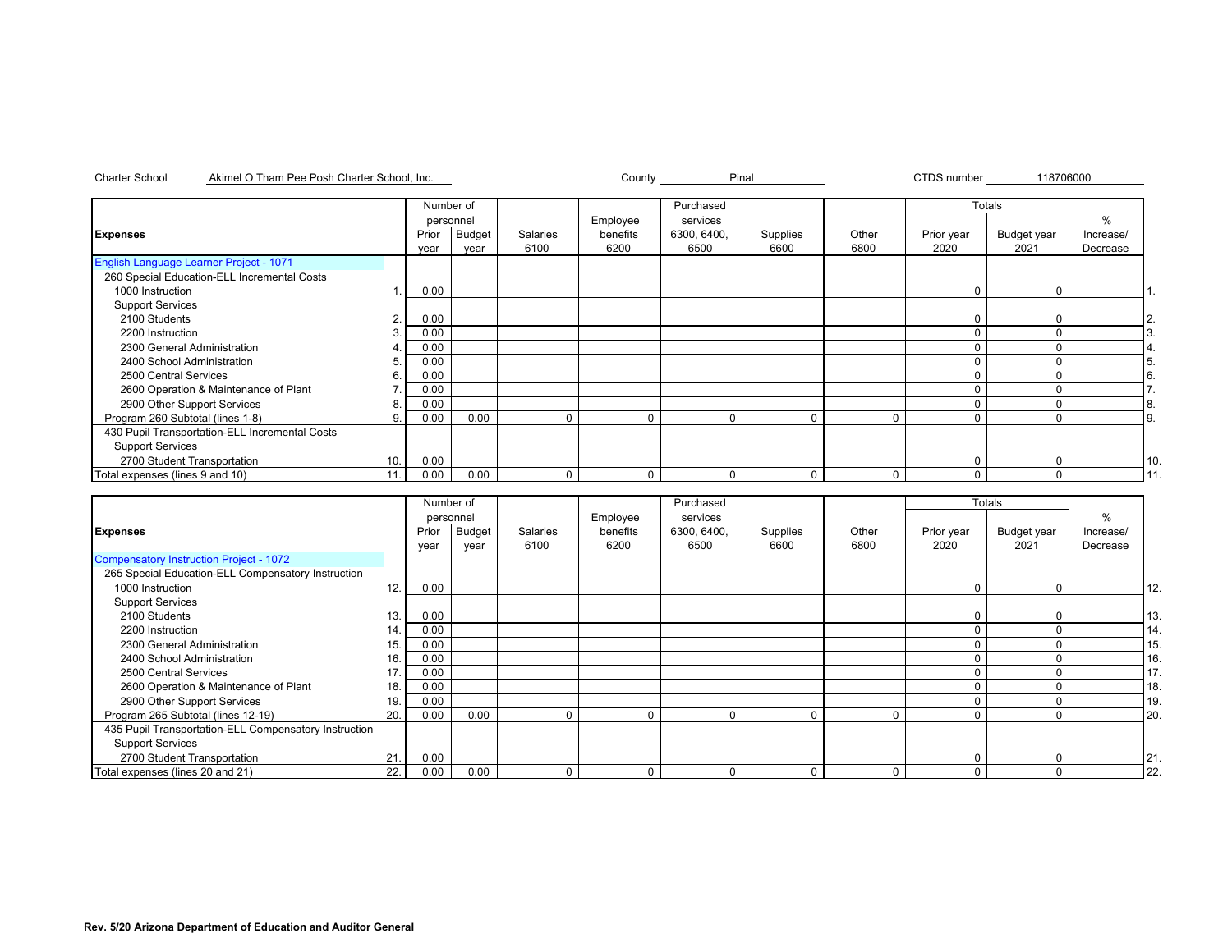nc. Notice County County and Pinal

CTDS number

|  |  | 118706000 |  |  |
|--|--|-----------|--|--|
|  |  |           |  |  |

|                                                |     | Number of |           |          |          | Purchased   |          |              |            | Totals      |           |               |
|------------------------------------------------|-----|-----------|-----------|----------|----------|-------------|----------|--------------|------------|-------------|-----------|---------------|
|                                                |     |           | personnel |          | Employee | services    |          |              |            |             | %         |               |
| <b>Expenses</b>                                |     | Prior     | Budget    | Salaries | benefits | 6300, 6400, | Supplies | Other        | Prior year | Budget year | Increase/ |               |
|                                                |     | year      | year      | 6100     | 6200     | 6500        | 6600     | 6800         | 2020       | 2021        | Decrease  |               |
| English Language Learner Project - 1071        |     |           |           |          |          |             |          |              |            |             |           |               |
| 260 Special Education-ELL Incremental Costs    |     |           |           |          |          |             |          |              |            |             |           |               |
| 1000 Instruction                               |     | 0.00      |           |          |          |             |          |              |            | $\Omega$    |           |               |
| <b>Support Services</b>                        |     |           |           |          |          |             |          |              |            |             |           |               |
| 2100 Students                                  | 2.  | 0.00      |           |          |          |             |          |              |            |             |           | 2.            |
| 2200 Instruction                               |     | 0.00      |           |          |          |             |          |              |            |             |           |               |
| 2300 General Administration                    |     | 0.00      |           |          |          |             |          |              |            |             |           |               |
| 2400 School Administration                     | 5   | 0.00      |           |          |          |             |          |              |            |             |           | 5.            |
| 2500 Central Services                          | 6.  | 0.00      |           |          |          |             |          |              |            |             |           | <sup>6.</sup> |
| 2600 Operation & Maintenance of Plant          |     | 0.00      |           |          |          |             |          |              |            |             |           |               |
| 2900 Other Support Services                    | 8   | 0.00      |           |          |          |             |          |              |            |             |           | 8.            |
| Program 260 Subtotal (lines 1-8)               |     | 0.00      | 0.00      | $\Omega$ | $\Omega$ | $\Omega$    | $\Omega$ | 0            |            |             |           | 9.            |
| 430 Pupil Transportation-ELL Incremental Costs |     |           |           |          |          |             |          |              |            |             |           |               |
| <b>Support Services</b>                        |     |           |           |          |          |             |          |              |            |             |           |               |
| 2700 Student Transportation                    | 10. | 0.00      |           |          |          |             |          |              |            | $\Omega$    |           | 10.           |
| Total expenses (lines 9 and 10)                | 11. | 0.00      | 0.00      | 0        | $\Omega$ | $\Omega$    | $\Omega$ | $\mathbf{0}$ | 0          | 0           |           | l 11          |

|                                                       |     | Number of |           |          |          | Purchased   |          |             |            | Totals      |           |     |
|-------------------------------------------------------|-----|-----------|-----------|----------|----------|-------------|----------|-------------|------------|-------------|-----------|-----|
|                                                       |     |           | personnel |          | Employee | services    |          |             |            |             | $\%$      |     |
| <b>Expenses</b>                                       |     | Prior     | Budget    | Salaries | benefits | 6300, 6400, | Supplies | Other       | Prior year | Budget year | Increase/ |     |
|                                                       |     | year      | vear      | 6100     | 6200     | 6500        | 6600     | 6800        | 2020       | 2021        | Decrease  |     |
| <b>Compensatory Instruction Project - 1072</b>        |     |           |           |          |          |             |          |             |            |             |           |     |
| 265 Special Education-ELL Compensatory Instruction    |     |           |           |          |          |             |          |             |            |             |           |     |
| 1000 Instruction                                      | 12. | 0.00      |           |          |          |             |          |             |            |             |           | 12. |
| <b>Support Services</b>                               |     |           |           |          |          |             |          |             |            |             |           |     |
| 2100 Students                                         | 13. | 0.00      |           |          |          |             |          |             |            |             |           | 13. |
| 2200 Instruction                                      | 14. | 0.00      |           |          |          |             |          |             |            |             |           | 14. |
| 2300 General Administration                           | 15. | 0.00      |           |          |          |             |          |             |            |             |           | 15  |
| 2400 School Administration                            | 16. | 0.00      |           |          |          |             |          |             |            |             |           | 16. |
| 2500 Central Services                                 | 17. | 0.00      |           |          |          |             |          |             |            |             |           | 17. |
| 2600 Operation & Maintenance of Plant                 | 18. | 0.00      |           |          |          |             |          |             |            |             |           | 18. |
| 2900 Other Support Services                           | 19. | 0.00      |           |          |          |             |          |             | 0          | $\Omega$    |           | 19. |
| Program 265 Subtotal (lines 12-19)                    | 20. | 0.00      | 0.00      | $\Omega$ |          |             | 0        | $\Omega$    | 0          |             |           | 20. |
| 435 Pupil Transportation-ELL Compensatory Instruction |     |           |           |          |          |             |          |             |            |             |           |     |
| <b>Support Services</b>                               |     |           |           |          |          |             |          |             |            |             |           |     |
| 2700 Student Transportation                           | 21. | 0.00      |           |          |          |             |          |             | 0          |             |           | 21. |
| Total expenses (lines 20 and 21)                      | 22. | 0.00      | 0.00      | $\Omega$ |          |             | 0        | $\mathbf 0$ | 0          | $\Omega$    |           | 22. |